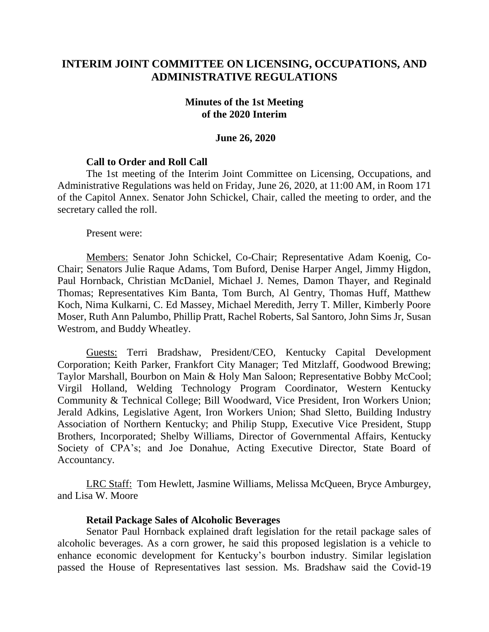# **INTERIM JOINT COMMITTEE ON LICENSING, OCCUPATIONS, AND ADMINISTRATIVE REGULATIONS**

### **Minutes of the 1st Meeting of the 2020 Interim**

#### **June 26, 2020**

#### **Call to Order and Roll Call**

The 1st meeting of the Interim Joint Committee on Licensing, Occupations, and Administrative Regulations was held on Friday, June 26, 2020, at 11:00 AM, in Room 171 of the Capitol Annex. Senator John Schickel, Chair, called the meeting to order, and the secretary called the roll.

Present were:

Members: Senator John Schickel, Co-Chair; Representative Adam Koenig, Co-Chair; Senators Julie Raque Adams, Tom Buford, Denise Harper Angel, Jimmy Higdon, Paul Hornback, Christian McDaniel, Michael J. Nemes, Damon Thayer, and Reginald Thomas; Representatives Kim Banta, Tom Burch, Al Gentry, Thomas Huff, Matthew Koch, Nima Kulkarni, C. Ed Massey, Michael Meredith, Jerry T. Miller, Kimberly Poore Moser, Ruth Ann Palumbo, Phillip Pratt, Rachel Roberts, Sal Santoro, John Sims Jr, Susan Westrom, and Buddy Wheatley.

Guests: Terri Bradshaw, President/CEO, Kentucky Capital Development Corporation; Keith Parker, Frankfort City Manager; Ted Mitzlaff, Goodwood Brewing; Taylor Marshall, Bourbon on Main & Holy Man Saloon; Representative Bobby McCool; Virgil Holland, Welding Technology Program Coordinator, Western Kentucky Community & Technical College; Bill Woodward, Vice President, Iron Workers Union; Jerald Adkins, Legislative Agent, Iron Workers Union; Shad Sletto, Building Industry Association of Northern Kentucky; and Philip Stupp, Executive Vice President, Stupp Brothers, Incorporated; Shelby Williams, Director of Governmental Affairs, Kentucky Society of CPA's; and Joe Donahue, Acting Executive Director, State Board of Accountancy.

LRC Staff: Tom Hewlett, Jasmine Williams, Melissa McQueen, Bryce Amburgey, and Lisa W. Moore

#### **Retail Package Sales of Alcoholic Beverages**

Senator Paul Hornback explained draft legislation for the retail package sales of alcoholic beverages. As a corn grower, he said this proposed legislation is a vehicle to enhance economic development for Kentucky's bourbon industry. Similar legislation passed the House of Representatives last session. Ms. Bradshaw said the Covid-19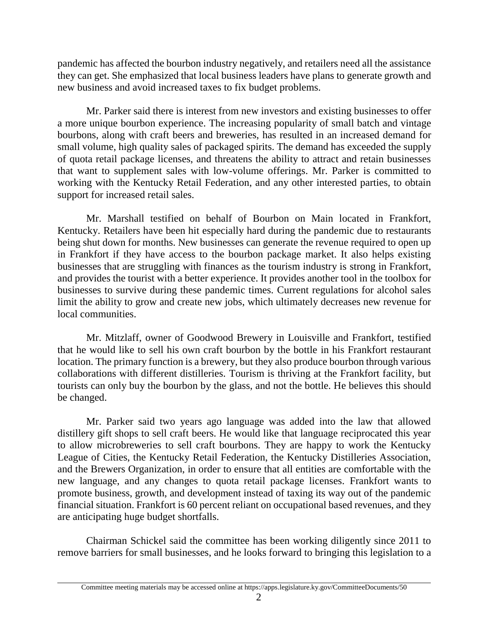pandemic has affected the bourbon industry negatively, and retailers need all the assistance they can get. She emphasized that local business leaders have plans to generate growth and new business and avoid increased taxes to fix budget problems.

Mr. Parker said there is interest from new investors and existing businesses to offer a more unique bourbon experience. The increasing popularity of small batch and vintage bourbons, along with craft beers and breweries, has resulted in an increased demand for small volume, high quality sales of packaged spirits. The demand has exceeded the supply of quota retail package licenses, and threatens the ability to attract and retain businesses that want to supplement sales with low-volume offerings. Mr. Parker is committed to working with the Kentucky Retail Federation, and any other interested parties, to obtain support for increased retail sales.

Mr. Marshall testified on behalf of Bourbon on Main located in Frankfort, Kentucky. Retailers have been hit especially hard during the pandemic due to restaurants being shut down for months. New businesses can generate the revenue required to open up in Frankfort if they have access to the bourbon package market. It also helps existing businesses that are struggling with finances as the tourism industry is strong in Frankfort, and provides the tourist with a better experience. It provides another tool in the toolbox for businesses to survive during these pandemic times. Current regulations for alcohol sales limit the ability to grow and create new jobs, which ultimately decreases new revenue for local communities.

Mr. Mitzlaff, owner of Goodwood Brewery in Louisville and Frankfort, testified that he would like to sell his own craft bourbon by the bottle in his Frankfort restaurant location. The primary function is a brewery, but they also produce bourbon through various collaborations with different distilleries. Tourism is thriving at the Frankfort facility, but tourists can only buy the bourbon by the glass, and not the bottle. He believes this should be changed.

Mr. Parker said two years ago language was added into the law that allowed distillery gift shops to sell craft beers. He would like that language reciprocated this year to allow microbreweries to sell craft bourbons. They are happy to work the Kentucky League of Cities, the Kentucky Retail Federation, the Kentucky Distilleries Association, and the Brewers Organization, in order to ensure that all entities are comfortable with the new language, and any changes to quota retail package licenses. Frankfort wants to promote business, growth, and development instead of taxing its way out of the pandemic financial situation. Frankfort is 60 percent reliant on occupational based revenues, and they are anticipating huge budget shortfalls.

Chairman Schickel said the committee has been working diligently since 2011 to remove barriers for small businesses, and he looks forward to bringing this legislation to a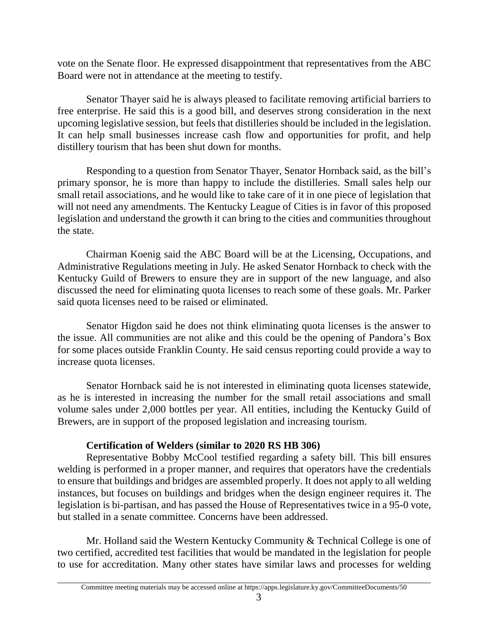vote on the Senate floor. He expressed disappointment that representatives from the ABC Board were not in attendance at the meeting to testify.

Senator Thayer said he is always pleased to facilitate removing artificial barriers to free enterprise. He said this is a good bill, and deserves strong consideration in the next upcoming legislative session, but feels that distilleries should be included in the legislation. It can help small businesses increase cash flow and opportunities for profit, and help distillery tourism that has been shut down for months.

Responding to a question from Senator Thayer, Senator Hornback said, as the bill's primary sponsor, he is more than happy to include the distilleries. Small sales help our small retail associations, and he would like to take care of it in one piece of legislation that will not need any amendments. The Kentucky League of Cities is in favor of this proposed legislation and understand the growth it can bring to the cities and communities throughout the state.

Chairman Koenig said the ABC Board will be at the Licensing, Occupations, and Administrative Regulations meeting in July. He asked Senator Hornback to check with the Kentucky Guild of Brewers to ensure they are in support of the new language, and also discussed the need for eliminating quota licenses to reach some of these goals. Mr. Parker said quota licenses need to be raised or eliminated.

Senator Higdon said he does not think eliminating quota licenses is the answer to the issue. All communities are not alike and this could be the opening of Pandora's Box for some places outside Franklin County. He said census reporting could provide a way to increase quota licenses.

Senator Hornback said he is not interested in eliminating quota licenses statewide, as he is interested in increasing the number for the small retail associations and small volume sales under 2,000 bottles per year. All entities, including the Kentucky Guild of Brewers, are in support of the proposed legislation and increasing tourism.

# **Certification of Welders (similar to 2020 RS HB 306)**

Representative Bobby McCool testified regarding a safety bill. This bill ensures welding is performed in a proper manner, and requires that operators have the credentials to ensure that buildings and bridges are assembled properly. It does not apply to all welding instances, but focuses on buildings and bridges when the design engineer requires it. The legislation is bi-partisan, and has passed the House of Representatives twice in a 95-0 vote, but stalled in a senate committee. Concerns have been addressed.

Mr. Holland said the Western Kentucky Community & Technical College is one of two certified, accredited test facilities that would be mandated in the legislation for people to use for accreditation. Many other states have similar laws and processes for welding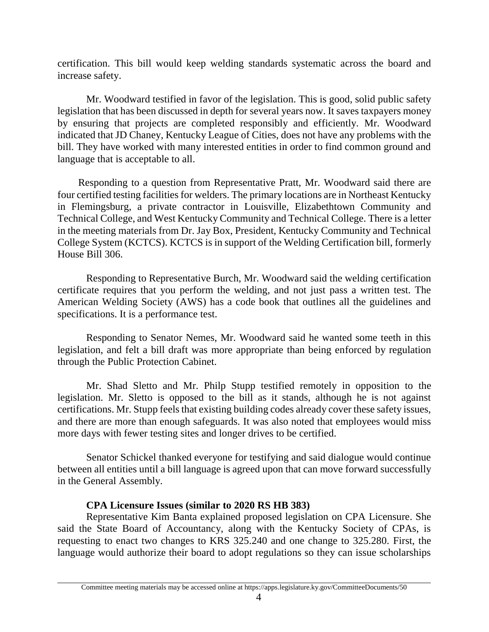certification. This bill would keep welding standards systematic across the board and increase safety.

Mr. Woodward testified in favor of the legislation. This is good, solid public safety legislation that has been discussed in depth for several years now. It saves taxpayers money by ensuring that projects are completed responsibly and efficiently. Mr. Woodward indicated that JD Chaney, Kentucky League of Cities, does not have any problems with the bill. They have worked with many interested entities in order to find common ground and language that is acceptable to all.

 Responding to a question from Representative Pratt, Mr. Woodward said there are four certified testing facilities for welders. The primary locations are in Northeast Kentucky in Flemingsburg, a private contractor in Louisville, Elizabethtown Community and Technical College, and West Kentucky Community and Technical College. There is a letter in the meeting materials from Dr. Jay Box, President, Kentucky Community and Technical College System (KCTCS). KCTCS is in support of the Welding Certification bill, formerly House Bill 306.

Responding to Representative Burch, Mr. Woodward said the welding certification certificate requires that you perform the welding, and not just pass a written test. The American Welding Society (AWS) has a code book that outlines all the guidelines and specifications. It is a performance test.

Responding to Senator Nemes, Mr. Woodward said he wanted some teeth in this legislation, and felt a bill draft was more appropriate than being enforced by regulation through the Public Protection Cabinet.

Mr. Shad Sletto and Mr. Philp Stupp testified remotely in opposition to the legislation. Mr. Sletto is opposed to the bill as it stands, although he is not against certifications. Mr. Stupp feels that existing building codes already cover these safety issues, and there are more than enough safeguards. It was also noted that employees would miss more days with fewer testing sites and longer drives to be certified.

Senator Schickel thanked everyone for testifying and said dialogue would continue between all entities until a bill language is agreed upon that can move forward successfully in the General Assembly.

### **CPA Licensure Issues (similar to 2020 RS HB 383)**

Representative Kim Banta explained proposed legislation on CPA Licensure. She said the State Board of Accountancy, along with the Kentucky Society of CPAs, is requesting to enact two changes to KRS 325.240 and one change to 325.280. First, the language would authorize their board to adopt regulations so they can issue scholarships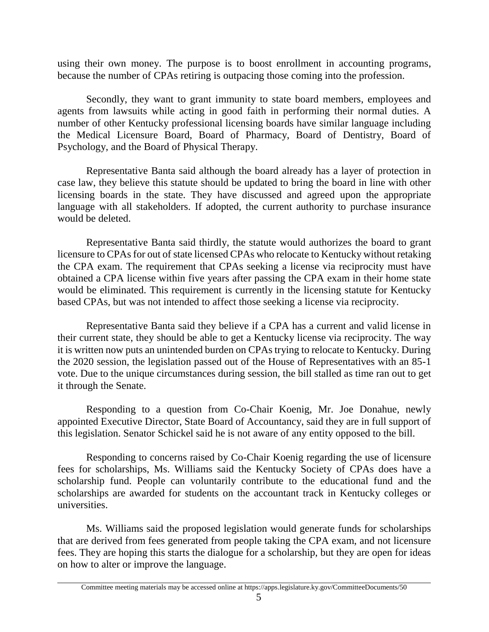using their own money. The purpose is to boost enrollment in accounting programs, because the number of CPAs retiring is outpacing those coming into the profession.

Secondly, they want to grant immunity to state board members, employees and agents from lawsuits while acting in good faith in performing their normal duties. A number of other Kentucky professional licensing boards have similar language including the Medical Licensure Board, Board of Pharmacy, Board of Dentistry, Board of Psychology, and the Board of Physical Therapy.

Representative Banta said although the board already has a layer of protection in case law, they believe this statute should be updated to bring the board in line with other licensing boards in the state. They have discussed and agreed upon the appropriate language with all stakeholders. If adopted, the current authority to purchase insurance would be deleted.

Representative Banta said thirdly, the statute would authorizes the board to grant licensure to CPAs for out of state licensed CPAs who relocate to Kentucky without retaking the CPA exam. The requirement that CPAs seeking a license via reciprocity must have obtained a CPA license within five years after passing the CPA exam in their home state would be eliminated. This requirement is currently in the licensing statute for Kentucky based CPAs, but was not intended to affect those seeking a license via reciprocity.

Representative Banta said they believe if a CPA has a current and valid license in their current state, they should be able to get a Kentucky license via reciprocity. The way it is written now puts an unintended burden on CPAs trying to relocate to Kentucky. During the 2020 session, the legislation passed out of the House of Representatives with an 85-1 vote. Due to the unique circumstances during session, the bill stalled as time ran out to get it through the Senate.

Responding to a question from Co-Chair Koenig, Mr. Joe Donahue, newly appointed Executive Director, State Board of Accountancy, said they are in full support of this legislation. Senator Schickel said he is not aware of any entity opposed to the bill.

Responding to concerns raised by Co-Chair Koenig regarding the use of licensure fees for scholarships, Ms. Williams said the Kentucky Society of CPAs does have a scholarship fund. People can voluntarily contribute to the educational fund and the scholarships are awarded for students on the accountant track in Kentucky colleges or universities.

Ms. Williams said the proposed legislation would generate funds for scholarships that are derived from fees generated from people taking the CPA exam, and not licensure fees. They are hoping this starts the dialogue for a scholarship, but they are open for ideas on how to alter or improve the language.